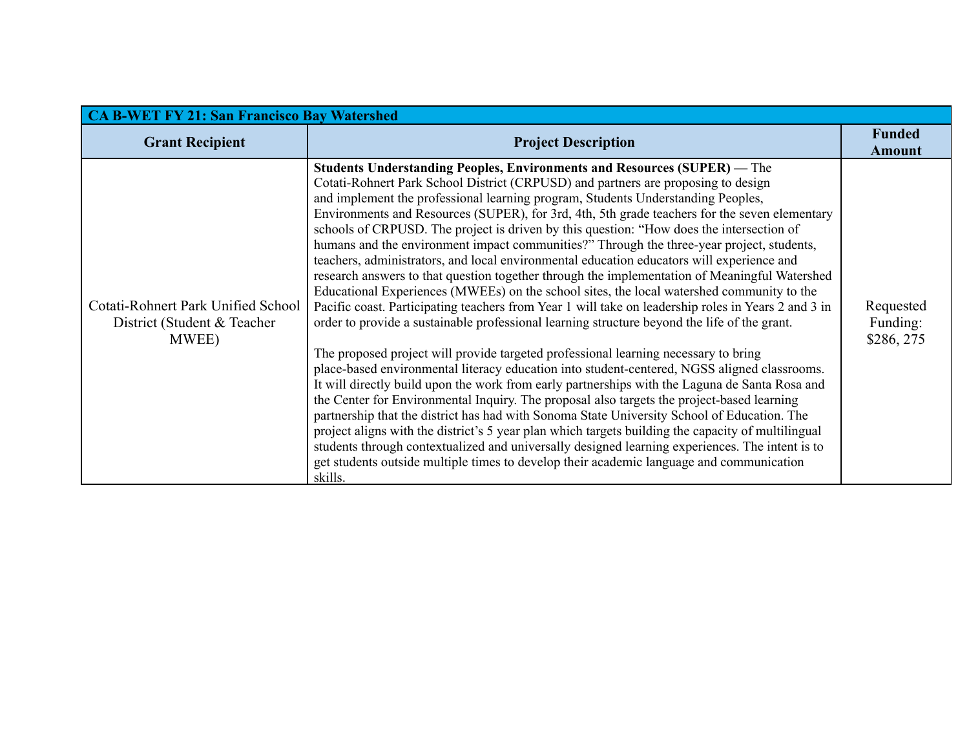| <b>CA B-WET FY 21: San Francisco Bay Watershed</b>                          |                                                                                                                                                                                                                                                                                                                                                                                                                                                                                                                                                                                                                                                                                                                                                                                                                                                                                                                                                                                                                                                                                                                                                                                                                                                                                                                                                                                                                                                                                                                                                                                                                                                                                                                                                                                                                                                            |                                     |  |  |
|-----------------------------------------------------------------------------|------------------------------------------------------------------------------------------------------------------------------------------------------------------------------------------------------------------------------------------------------------------------------------------------------------------------------------------------------------------------------------------------------------------------------------------------------------------------------------------------------------------------------------------------------------------------------------------------------------------------------------------------------------------------------------------------------------------------------------------------------------------------------------------------------------------------------------------------------------------------------------------------------------------------------------------------------------------------------------------------------------------------------------------------------------------------------------------------------------------------------------------------------------------------------------------------------------------------------------------------------------------------------------------------------------------------------------------------------------------------------------------------------------------------------------------------------------------------------------------------------------------------------------------------------------------------------------------------------------------------------------------------------------------------------------------------------------------------------------------------------------------------------------------------------------------------------------------------------------|-------------------------------------|--|--|
| <b>Grant Recipient</b>                                                      | <b>Project Description</b>                                                                                                                                                                                                                                                                                                                                                                                                                                                                                                                                                                                                                                                                                                                                                                                                                                                                                                                                                                                                                                                                                                                                                                                                                                                                                                                                                                                                                                                                                                                                                                                                                                                                                                                                                                                                                                 | <b>Funded</b><br><b>Amount</b>      |  |  |
| Cotati-Rohnert Park Unified School<br>District (Student & Teacher)<br>MWEE) | <b>Students Understanding Peoples, Environments and Resources (SUPER)</b> — The<br>Cotati-Rohnert Park School District (CRPUSD) and partners are proposing to design<br>and implement the professional learning program, Students Understanding Peoples,<br>Environments and Resources (SUPER), for 3rd, 4th, 5th grade teachers for the seven elementary<br>schools of CRPUSD. The project is driven by this question: "How does the intersection of<br>humans and the environment impact communities?" Through the three-year project, students,<br>teachers, administrators, and local environmental education educators will experience and<br>research answers to that question together through the implementation of Meaningful Watershed<br>Educational Experiences (MWEEs) on the school sites, the local watershed community to the<br>Pacific coast. Participating teachers from Year 1 will take on leadership roles in Years 2 and 3 in<br>order to provide a sustainable professional learning structure beyond the life of the grant.<br>The proposed project will provide targeted professional learning necessary to bring<br>place-based environmental literacy education into student-centered, NGSS aligned classrooms.<br>It will directly build upon the work from early partnerships with the Laguna de Santa Rosa and<br>the Center for Environmental Inquiry. The proposal also targets the project-based learning<br>partnership that the district has had with Sonoma State University School of Education. The<br>project aligns with the district's 5 year plan which targets building the capacity of multilingual<br>students through contextualized and universally designed learning experiences. The intent is to<br>get students outside multiple times to develop their academic language and communication<br>skills. | Requested<br>Funding:<br>\$286, 275 |  |  |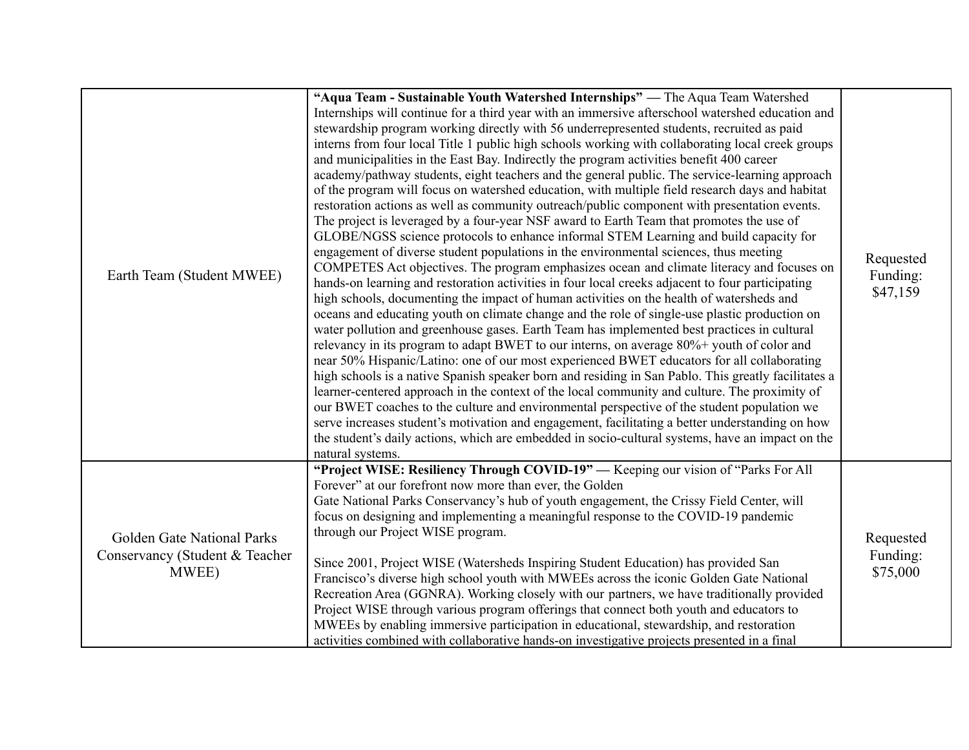|                                         | "Aqua Team - Sustainable Youth Watershed Internships" — The Aqua Team Watershed<br>Internships will continue for a third year with an immersive afterschool watershed education and               |           |
|-----------------------------------------|---------------------------------------------------------------------------------------------------------------------------------------------------------------------------------------------------|-----------|
|                                         | stewardship program working directly with 56 underrepresented students, recruited as paid                                                                                                         |           |
|                                         | interns from four local Title 1 public high schools working with collaborating local creek groups                                                                                                 |           |
|                                         | and municipalities in the East Bay. Indirectly the program activities benefit 400 career                                                                                                          |           |
|                                         | academy/pathway students, eight teachers and the general public. The service-learning approach<br>of the program will focus on watershed education, with multiple field research days and habitat |           |
|                                         | restoration actions as well as community outreach/public component with presentation events.                                                                                                      |           |
|                                         | The project is leveraged by a four-year NSF award to Earth Team that promotes the use of                                                                                                          |           |
|                                         | GLOBE/NGSS science protocols to enhance informal STEM Learning and build capacity for                                                                                                             |           |
|                                         | engagement of diverse student populations in the environmental sciences, thus meeting                                                                                                             |           |
|                                         | COMPETES Act objectives. The program emphasizes ocean and climate literacy and focuses on                                                                                                         | Requested |
| Earth Team (Student MWEE)               | hands-on learning and restoration activities in four local creeks adjacent to four participating                                                                                                  | Funding:  |
|                                         | high schools, documenting the impact of human activities on the health of watersheds and                                                                                                          | \$47,159  |
|                                         | oceans and educating youth on climate change and the role of single-use plastic production on                                                                                                     |           |
|                                         | water pollution and greenhouse gases. Earth Team has implemented best practices in cultural                                                                                                       |           |
|                                         | relevancy in its program to adapt BWET to our interns, on average 80%+ youth of color and                                                                                                         |           |
|                                         | near 50% Hispanic/Latino: one of our most experienced BWET educators for all collaborating                                                                                                        |           |
|                                         | high schools is a native Spanish speaker born and residing in San Pablo. This greatly facilitates a                                                                                               |           |
|                                         | learner-centered approach in the context of the local community and culture. The proximity of                                                                                                     |           |
|                                         | our BWET coaches to the culture and environmental perspective of the student population we                                                                                                        |           |
|                                         | serve increases student's motivation and engagement, facilitating a better understanding on how                                                                                                   |           |
|                                         | the student's daily actions, which are embedded in socio-cultural systems, have an impact on the                                                                                                  |           |
|                                         | natural systems.<br>"Project WISE: Resiliency Through COVID-19" — Keeping our vision of "Parks For All                                                                                            |           |
|                                         | Forever" at our forefront now more than ever, the Golden                                                                                                                                          |           |
|                                         | Gate National Parks Conservancy's hub of youth engagement, the Crissy Field Center, will                                                                                                          |           |
|                                         | focus on designing and implementing a meaningful response to the COVID-19 pandemic                                                                                                                |           |
|                                         | through our Project WISE program.                                                                                                                                                                 |           |
| Golden Gate National Parks              |                                                                                                                                                                                                   | Requested |
| Conservancy (Student & Teacher<br>MWEE) | Since 2001, Project WISE (Watersheds Inspiring Student Education) has provided San                                                                                                                | Funding:  |
|                                         | Francisco's diverse high school youth with MWEEs across the iconic Golden Gate National                                                                                                           | \$75,000  |
|                                         | Recreation Area (GGNRA). Working closely with our partners, we have traditionally provided                                                                                                        |           |
|                                         | Project WISE through various program offerings that connect both youth and educators to                                                                                                           |           |
|                                         | MWEEs by enabling immersive participation in educational, stewardship, and restoration                                                                                                            |           |
|                                         | activities combined with collaborative hands-on investigative projects presented in a final                                                                                                       |           |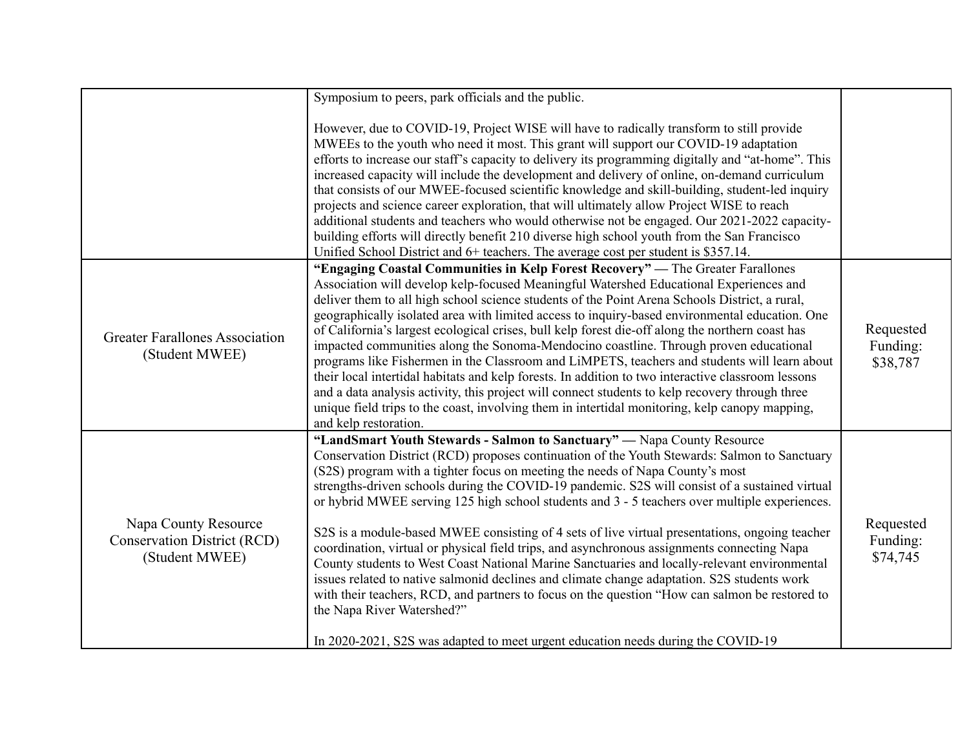|                                                                              | Symposium to peers, park officials and the public.                                                                                                                                                                                                                                                                                                                                                                                                                                                                                                                                                                                                                                                                                                                                                                                                                                                                                                                                                                                                                              |                                   |
|------------------------------------------------------------------------------|---------------------------------------------------------------------------------------------------------------------------------------------------------------------------------------------------------------------------------------------------------------------------------------------------------------------------------------------------------------------------------------------------------------------------------------------------------------------------------------------------------------------------------------------------------------------------------------------------------------------------------------------------------------------------------------------------------------------------------------------------------------------------------------------------------------------------------------------------------------------------------------------------------------------------------------------------------------------------------------------------------------------------------------------------------------------------------|-----------------------------------|
|                                                                              | However, due to COVID-19, Project WISE will have to radically transform to still provide<br>MWEEs to the youth who need it most. This grant will support our COVID-19 adaptation<br>efforts to increase our staff's capacity to delivery its programming digitally and "at-home". This<br>increased capacity will include the development and delivery of online, on-demand curriculum<br>that consists of our MWEE-focused scientific knowledge and skill-building, student-led inquiry<br>projects and science career exploration, that will ultimately allow Project WISE to reach<br>additional students and teachers who would otherwise not be engaged. Our 2021-2022 capacity-<br>building efforts will directly benefit 210 diverse high school youth from the San Francisco<br>Unified School District and 6+ teachers. The average cost per student is \$357.14.                                                                                                                                                                                                      |                                   |
| <b>Greater Farallones Association</b><br>(Student MWEE)                      | "Engaging Coastal Communities in Kelp Forest Recovery" — The Greater Farallones<br>Association will develop kelp-focused Meaningful Watershed Educational Experiences and<br>deliver them to all high school science students of the Point Arena Schools District, a rural,<br>geographically isolated area with limited access to inquiry-based environmental education. One<br>of California's largest ecological crises, bull kelp forest die-off along the northern coast has<br>impacted communities along the Sonoma-Mendocino coastline. Through proven educational<br>programs like Fishermen in the Classroom and LiMPETS, teachers and students will learn about<br>their local intertidal habitats and kelp forests. In addition to two interactive classroom lessons<br>and a data analysis activity, this project will connect students to kelp recovery through three<br>unique field trips to the coast, involving them in intertidal monitoring, kelp canopy mapping,<br>and kelp restoration.                                                                  | Requested<br>Funding:<br>\$38,787 |
| Napa County Resource<br><b>Conservation District (RCD)</b><br>(Student MWEE) | "LandSmart Youth Stewards - Salmon to Sanctuary" — Napa County Resource<br>Conservation District (RCD) proposes continuation of the Youth Stewards: Salmon to Sanctuary<br>(S2S) program with a tighter focus on meeting the needs of Napa County's most<br>strengths-driven schools during the COVID-19 pandemic. S2S will consist of a sustained virtual<br>or hybrid MWEE serving 125 high school students and 3 - 5 teachers over multiple experiences.<br>S2S is a module-based MWEE consisting of 4 sets of live virtual presentations, ongoing teacher<br>coordination, virtual or physical field trips, and asynchronous assignments connecting Napa<br>County students to West Coast National Marine Sanctuaries and locally-relevant environmental<br>issues related to native salmonid declines and climate change adaptation. S2S students work<br>with their teachers, RCD, and partners to focus on the question "How can salmon be restored to<br>the Napa River Watershed?"<br>In 2020-2021, S2S was adapted to meet urgent education needs during the COVID-19 | Requested<br>Funding:<br>\$74,745 |